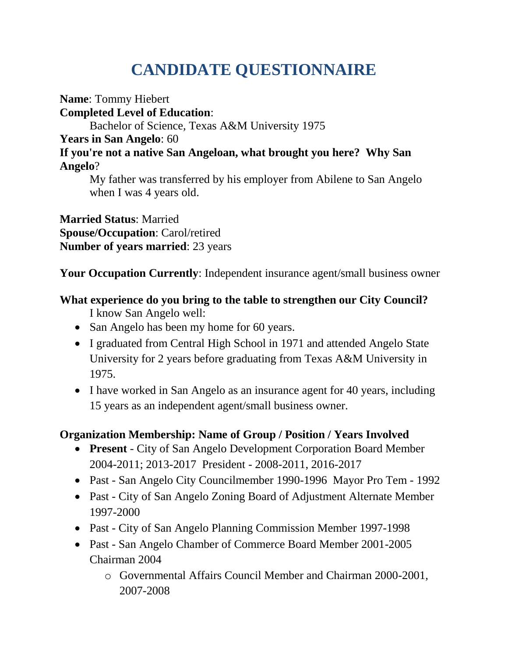# **CANDIDATE QUESTIONNAIRE**

**Name**: Tommy Hiebert

**Completed Level of Education**:

Bachelor of Science, Texas A&M University 1975

## **Years in San Angelo**: 60

#### **If you're not a native San Angeloan, what brought you here? Why San Angelo**?

My father was transferred by his employer from Abilene to San Angelo when I was 4 years old.

**Married Status**: Married **Spouse/Occupation**: Carol/retired **Number of years married**: 23 years

**Your Occupation Currently**: Independent insurance agent/small business owner

# **What experience do you bring to the table to strengthen our City Council?**

- I know San Angelo well:
- San Angelo has been my home for 60 years.
- I graduated from Central High School in 1971 and attended Angelo State University for 2 years before graduating from Texas A&M University in 1975.
- I have worked in San Angelo as an insurance agent for 40 years, including 15 years as an independent agent/small business owner.

# **Organization Membership: Name of Group / Position / Years Involved**

- **Present** City of San Angelo Development Corporation Board Member 2004-2011; 2013-2017 President - 2008-2011, 2016-2017
- Past San Angelo City Councilmember 1990-1996 Mayor Pro Tem 1992
- Past City of San Angelo Zoning Board of Adjustment Alternate Member 1997-2000
- Past City of San Angelo Planning Commission Member 1997-1998
- Past San Angelo Chamber of Commerce Board Member 2001-2005 Chairman 2004
	- o Governmental Affairs Council Member and Chairman 2000-2001, 2007-2008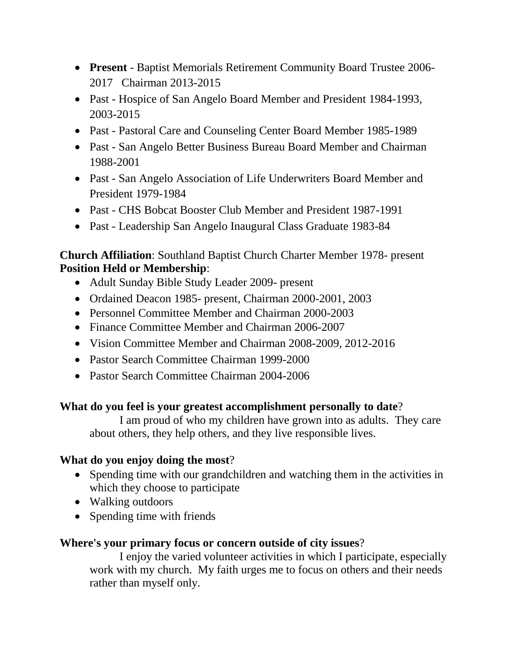- **Present** Baptist Memorials Retirement Community Board Trustee 2006- 2017 Chairman 2013-2015
- Past Hospice of San Angelo Board Member and President 1984-1993, 2003-2015
- Past Pastoral Care and Counseling Center Board Member 1985-1989
- Past San Angelo Better Business Bureau Board Member and Chairman 1988-2001
- Past San Angelo Association of Life Underwriters Board Member and President 1979-1984
- Past CHS Bobcat Booster Club Member and President 1987-1991
- Past Leadership San Angelo Inaugural Class Graduate 1983-84

### **Church Affiliation**: Southland Baptist Church Charter Member 1978- present **Position Held or Membership**:

- Adult Sunday Bible Study Leader 2009- present
- Ordained Deacon 1985- present, Chairman 2000-2001, 2003
- Personnel Committee Member and Chairman 2000-2003
- Finance Committee Member and Chairman 2006-2007
- Vision Committee Member and Chairman 2008-2009, 2012-2016
- Pastor Search Committee Chairman 1999-2000
- Pastor Search Committee Chairman 2004-2006

#### **What do you feel is your greatest accomplishment personally to date**?

I am proud of who my children have grown into as adults. They care about others, they help others, and they live responsible lives.

#### **What do you enjoy doing the most**?

- Spending time with our grandchildren and watching them in the activities in which they choose to participate
- Walking outdoors
- Spending time with friends

## **Where's your primary focus or concern outside of city issues**?

I enjoy the varied volunteer activities in which I participate, especially work with my church. My faith urges me to focus on others and their needs rather than myself only.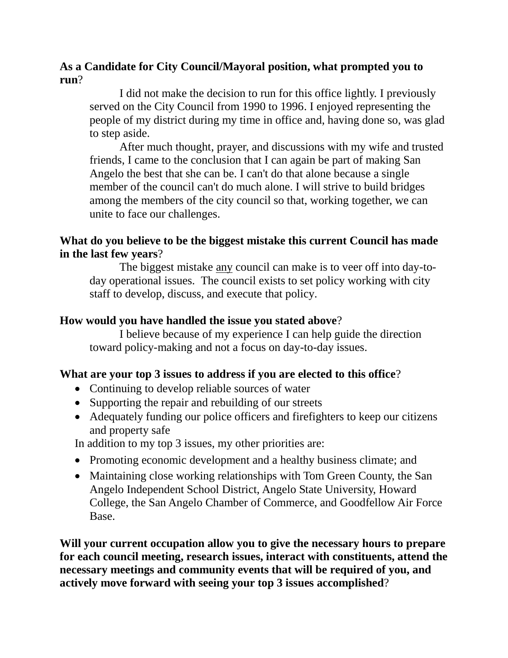#### **As a Candidate for City Council/Mayoral position, what prompted you to run**?

I did not make the decision to run for this office lightly. I previously served on the City Council from 1990 to 1996. I enjoyed representing the people of my district during my time in office and, having done so, was glad to step aside.

After much thought, prayer, and discussions with my wife and trusted friends, I came to the conclusion that I can again be part of making San Angelo the best that she can be. I can't do that alone because a single member of the council can't do much alone. I will strive to build bridges among the members of the city council so that, working together, we can unite to face our challenges.

#### **What do you believe to be the biggest mistake this current Council has made in the last few years**?

The biggest mistake any council can make is to veer off into day-today operational issues. The council exists to set policy working with city staff to develop, discuss, and execute that policy.

#### **How would you have handled the issue you stated above**?

I believe because of my experience I can help guide the direction toward policy-making and not a focus on day-to-day issues.

#### **What are your top 3 issues to address if you are elected to this office**?

- Continuing to develop reliable sources of water
- Supporting the repair and rebuilding of our streets
- Adequately funding our police officers and firefighters to keep our citizens and property safe

In addition to my top 3 issues, my other priorities are:

- Promoting economic development and a healthy business climate; and
- Maintaining close working relationships with Tom Green County, the San Angelo Independent School District, Angelo State University, Howard College, the San Angelo Chamber of Commerce, and Goodfellow Air Force Base.

**Will your current occupation allow you to give the necessary hours to prepare for each council meeting, research issues, interact with constituents, attend the necessary meetings and community events that will be required of you, and actively move forward with seeing your top 3 issues accomplished**?